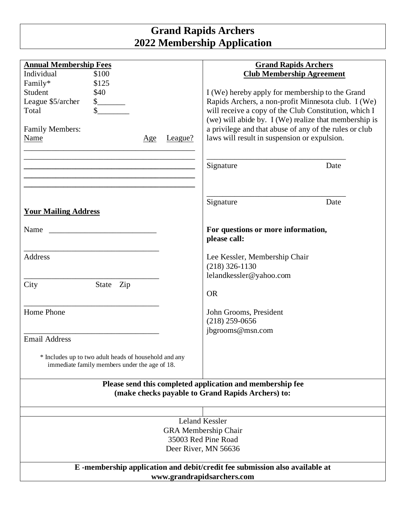## **Grand Rapids Archers 2022 Membership Application**

| <b>Annual Membership Fees</b>                                                                                                                                                                                                 | <b>Grand Rapids Archers</b>                            |
|-------------------------------------------------------------------------------------------------------------------------------------------------------------------------------------------------------------------------------|--------------------------------------------------------|
| Individual<br>\$100                                                                                                                                                                                                           | <b>Club Membership Agreement</b>                       |
| Family*<br>\$125                                                                                                                                                                                                              |                                                        |
| \$40<br>Student                                                                                                                                                                                                               | I (We) hereby apply for membership to the Grand        |
| League \$5/archer                                                                                                                                                                                                             | Rapids Archers, a non-profit Minnesota club. I (We)    |
| Total                                                                                                                                                                                                                         | will receive a copy of the Club Constitution, which I  |
|                                                                                                                                                                                                                               | (we) will abide by. I (We) realize that membership is  |
| <b>Family Members:</b>                                                                                                                                                                                                        | a privilege and that abuse of any of the rules or club |
| Name<br>$ League?$                                                                                                                                                                                                            | laws will result in suspension or expulsion.           |
| Age                                                                                                                                                                                                                           |                                                        |
|                                                                                                                                                                                                                               |                                                        |
|                                                                                                                                                                                                                               |                                                        |
| <u> 1989 - Johann John Stone, mars et al. 1989 - John Stone, mars et al. 1989 - John Stone, mars et al. 1989 - J</u>                                                                                                          | Date<br>Signature                                      |
| the control of the control of the control of the control of the control of the control of the control of the control of the control of the control of the control of the control of the control of the control of the control |                                                        |
|                                                                                                                                                                                                                               |                                                        |
|                                                                                                                                                                                                                               |                                                        |
|                                                                                                                                                                                                                               | Signature<br>Date                                      |
| <b>Your Mailing Address</b>                                                                                                                                                                                                   |                                                        |
|                                                                                                                                                                                                                               |                                                        |
| Name                                                                                                                                                                                                                          | For questions or more information,                     |
|                                                                                                                                                                                                                               | please call:                                           |
|                                                                                                                                                                                                                               |                                                        |
| Address                                                                                                                                                                                                                       | Lee Kessler, Membership Chair                          |
|                                                                                                                                                                                                                               | $(218)$ 326-1130                                       |
|                                                                                                                                                                                                                               | lelandkessler@yahoo.com                                |
| City<br>State Zip                                                                                                                                                                                                             |                                                        |
|                                                                                                                                                                                                                               | <b>OR</b>                                              |
|                                                                                                                                                                                                                               |                                                        |
| Home Phone                                                                                                                                                                                                                    | John Grooms, President                                 |
|                                                                                                                                                                                                                               |                                                        |
|                                                                                                                                                                                                                               | $(218)$ 259-0656                                       |
|                                                                                                                                                                                                                               | jbgrooms@msn.com                                       |
| <b>Email Address</b>                                                                                                                                                                                                          |                                                        |
|                                                                                                                                                                                                                               |                                                        |
| * Includes up to two adult heads of household and any<br>immediate family members under the age of 18.                                                                                                                        |                                                        |
|                                                                                                                                                                                                                               |                                                        |
|                                                                                                                                                                                                                               |                                                        |
| Please send this completed application and membership fee                                                                                                                                                                     |                                                        |
|                                                                                                                                                                                                                               | (make checks payable to Grand Rapids Archers) to:      |
|                                                                                                                                                                                                                               |                                                        |
|                                                                                                                                                                                                                               |                                                        |
| Leland Kessler                                                                                                                                                                                                                |                                                        |
| <b>GRA</b> Membership Chair                                                                                                                                                                                                   |                                                        |
| 35003 Red Pine Road                                                                                                                                                                                                           |                                                        |
| Deer River, MN 56636                                                                                                                                                                                                          |                                                        |
|                                                                                                                                                                                                                               |                                                        |
| E-membership application and debit/credit fee submission also available at                                                                                                                                                    |                                                        |
| www.grandrapidsarchers.com                                                                                                                                                                                                    |                                                        |
|                                                                                                                                                                                                                               |                                                        |